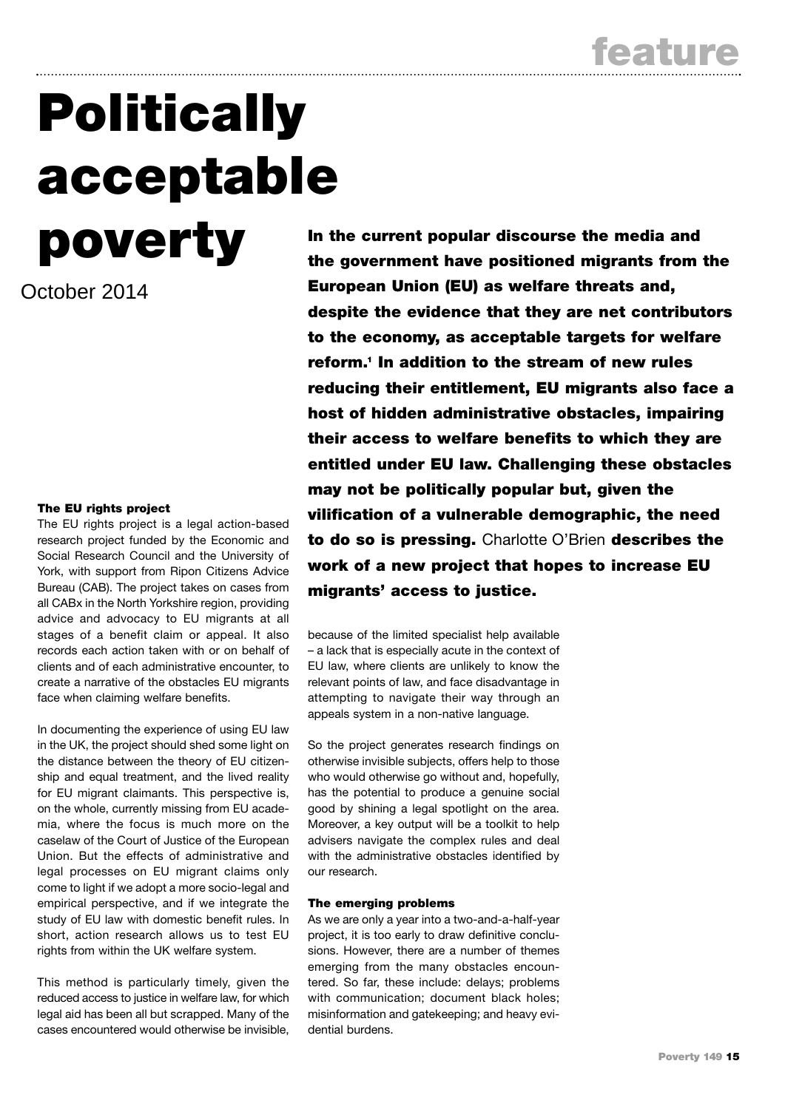**feature**

# **Politically acceptable**

October 2014

# **The EU rights project**

The EU rights project is a legal action-based research project funded by the Economic and Social Research Council and the University of York, with support from Ripon Citizens Advice Bureau (CAB). The project takes on cases from all CABx in the North Yorkshire region, providing advice and advocacy to EU migrants at all stages of a benefit claim or appeal. It also records each action taken with or on behalf of clients and of each administrative encounter, to create a narrative of the obstacles EU migrants face when claiming welfare benefits.

In documenting the experience of using EU law in the UK, the project should shed some light on the distance between the theory of EU citizenship and equal treatment, and the lived reality for EU migrant claimants. This perspective is, on the whole, currently missing from EU academia, where the focus is much more on the caselaw of the Court of Justice of the European Union. But the effects of administrative and legal processes on EU migrant claims only come to light if we adopt a more socio-legal and empirical perspective, and if we integrate the study of EU law with domestic benefit rules. In short, action research allows us to test EU rights from within the UK welfare system.

This method is particularly timely, given the reduced access to justice in welfare law, for which legal aid has been all but scrapped. Many of the cases encountered would otherwise be invisible,

**poverty** In the current popular discourse the media and <br> **power the surgerment hour positional minute from the government have positioned migrants from the European Union (EU) as welfare threats and, despite the evidence that they are net contributors to the economy, as acceptable targets for welfare reform.1 In addition to the stream of new rules reducing their entitlement, EU migrants also face a host of hidden administrative obstacles, impairing their access to welfare benefits to which they are entitled under EU law. Challenging these obstacles may not be politically popular but, given the vilification of a vulnerable demographic, the need to do so is pressing.** Charlotte O'Brien **describes the work of a new project that hopes to increase EU migrants' access to justice.** 

> because of the limited specialist help available – a lack that is especially acute in the context of EU law, where clients are unlikely to know the relevant points of law, and face disadvantage in attempting to navigate their way through an appeals system in a non-native language.

> So the project generates research findings on otherwise invisible subjects, offers help to those who would otherwise go without and, hopefully, has the potential to produce a genuine social good by shining a legal spotlight on the area. Moreover, a key output will be a toolkit to help advisers navigate the complex rules and deal with the administrative obstacles identified by our research.

# **The emerging problems**

As we are only a year into a two-and-a-half-year project, it is too early to draw definitive conclusions. However, there are a number of themes emerging from the many obstacles encountered. So far, these include: delays; problems with communication; document black holes; misinformation and gatekeeping; and heavy evidential burdens.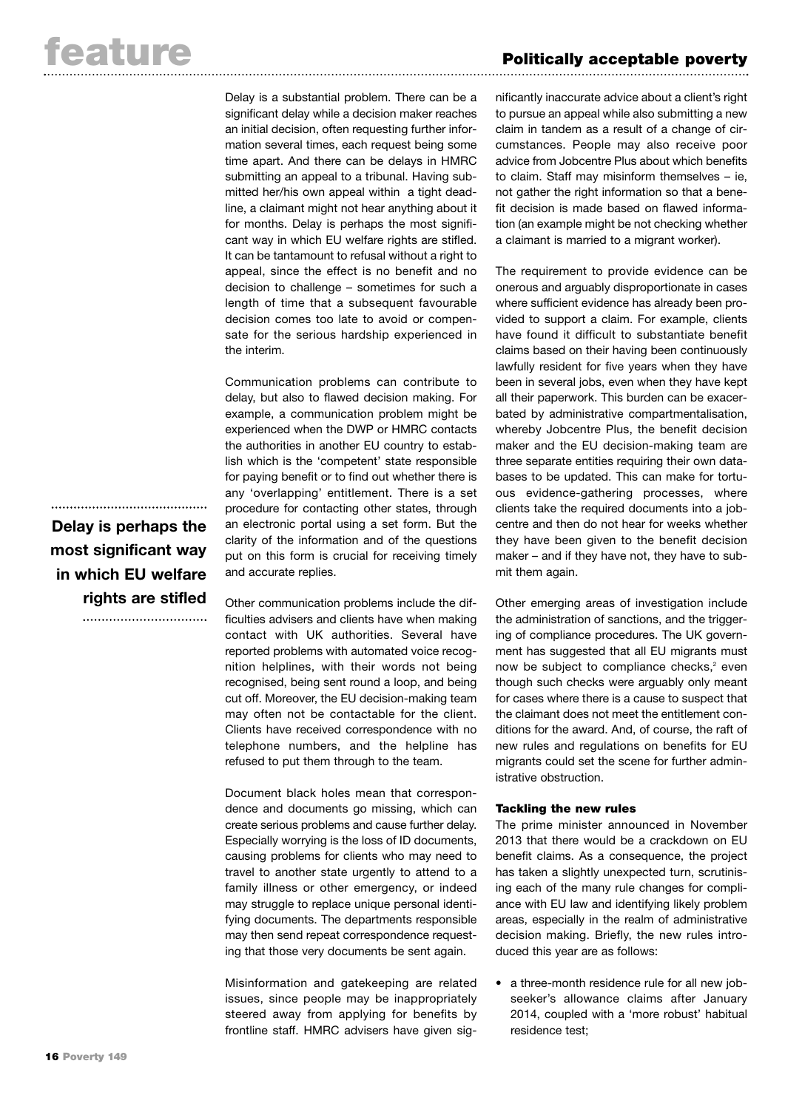Delay is a substantial problem. There can be a significant delay while a decision maker reaches an initial decision, often requesting further information several times, each request being some time apart. And there can be delays in HMRC submitting an appeal to a tribunal. Having submitted her/his own appeal within a tight deadline, a claimant might not hear anything about it for months. Delay is perhaps the most significant way in which EU welfare rights are stifled. It can be tantamount to refusal without a right to appeal, since the effect is no benefit and no decision to challenge – sometimes for such a length of time that a subsequent favourable decision comes too late to avoid or compensate for the serious hardship experienced in the interim.

Communication problems can contribute to delay, but also to flawed decision making. For example, a communication problem might be experienced when the DWP or HMRC contacts the authorities in another EU country to establish which is the 'competent' state responsible for paying benefit or to find out whether there is any 'overlapping' entitlement. There is a set procedure for contacting other states, through an electronic portal using a set form. But the clarity of the information and of the questions put on this form is crucial for receiving timely and accurate replies.

Other communication problems include the difficulties advisers and clients have when making contact with UK authorities. Several have reported problems with automated voice recognition helplines, with their words not being recognised, being sent round a loop, and being cut off. Moreover, the EU decision-making team may often not be contactable for the client. Clients have received correspondence with no telephone numbers, and the helpline has refused to put them through to the team.

Document black holes mean that correspondence and documents go missing, which can create serious problems and cause further delay. Especially worrying is the loss of ID documents, causing problems for clients who may need to travel to another state urgently to attend to a family illness or other emergency, or indeed may struggle to replace unique personal identifying documents. The departments responsible may then send repeat correspondence requesting that those very documents be sent again.

Misinformation and gatekeeping are related issues, since people may be inappropriately steered away from applying for benefits by frontline staff. HMRC advisers have given sig-

nificantly inaccurate advice about a client's right to pursue an appeal while also submitting a new claim in tandem as a result of a change of circumstances. People may also receive poor advice from Jobcentre Plus about which benefits to claim. Staff may misinform themselves – ie, not gather the right information so that a benefit decision is made based on flawed information (an example might be not checking whether a claimant is married to a migrant worker).

The requirement to provide evidence can be onerous and arguably disproportionate in cases where sufficient evidence has already been provided to support a claim. For example, clients have found it difficult to substantiate benefit claims based on their having been continuously lawfully resident for five years when they have been in several jobs, even when they have kept all their paperwork. This burden can be exacerbated by administrative compartmentalisation, whereby Jobcentre Plus, the benefit decision maker and the EU decision-making team are three separate entities requiring their own databases to be updated. This can make for tortuous evidence-gathering processes, where clients take the required documents into a jobcentre and then do not hear for weeks whether they have been given to the benefit decision maker – and if they have not, they have to submit them again.

Other emerging areas of investigation include the administration of sanctions, and the triggering of compliance procedures. The UK government has suggested that all EU migrants must now be subject to compliance checks, <sup>2</sup> even though such checks were arguably only meant for cases where there is a cause to suspect that the claimant does not meet the entitlement conditions for the award. And, of course, the raft of new rules and regulations on benefits for EU migrants could set the scene for further administrative obstruction.

# **Tackling the new rules**

The prime minister announced in November 2013 that there would be a crackdown on EU benefit claims. As a consequence, the project has taken a slightly unexpected turn, scrutinising each of the many rule changes for compliance with EU law and identifying likely problem areas, especially in the realm of administrative decision making. Briefly, the new rules introduced this year are as follows:

• a three-month residence rule for all new jobseeker's allowance claims after January 2014, coupled with a 'more robust' habitual residence test;

# **Delay is perhaps the most significant way in which EU welfare rights are stifled**